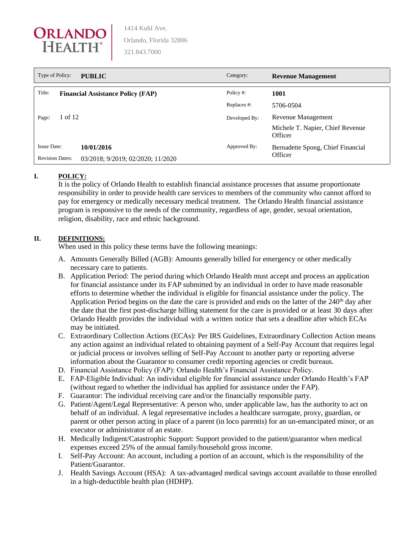

| Type of Policy:<br><b>PUBLIC</b> |                                          | Category:     | <b>Revenue Management</b>                   |
|----------------------------------|------------------------------------------|---------------|---------------------------------------------|
| Title:                           | <b>Financial Assistance Policy (FAP)</b> | Policy #:     | 1001                                        |
|                                  |                                          | Replaces #:   | 5706-0504                                   |
| 1 of 12<br>Page:                 |                                          | Developed By: | Revenue Management                          |
|                                  |                                          |               | Michele T. Napier, Chief Revenue<br>Officer |
| <b>Issue Date:</b>               | 10/01/2016                               | Approved By:  | Bernadette Spong, Chief Financial           |
| <b>Revision Dates:</b>           | 03/2018; 9/2019; 02/2020; 11/2020        |               | Officer                                     |

## **I. POLICY:**

It is the policy of Orlando Health to establish financial assistance processes that assume proportionate responsibility in order to provide health care services to members of the community who cannot afford to pay for emergency or medically necessary medical treatment. The Orlando Health financial assistance program is responsive to the needs of the community, regardless of age, gender, sexual orientation, religion, disability, race and ethnic background.

## **II. DEFINITIONS:**

When used in this policy these terms have the following meanings:

- A. Amounts Generally Billed (AGB): Amounts generally billed for emergency or other medically necessary care to patients.
- B. Application Period: The period during which Orlando Health must accept and process an application for financial assistance under its FAP submitted by an individual in order to have made reasonable efforts to determine whether the individual is eligible for financial assistance under the policy. The Application Period begins on the date the care is provided and ends on the latter of the  $240<sup>th</sup>$  day after the date that the first post-discharge billing statement for the care is provided or at least 30 days after Orlando Health provides the individual with a written notice that sets a deadline after which ECAs may be initiated.
- C. Extraordinary Collection Actions (ECAs): Per IRS Guidelines, Extraordinary Collection Action means any action against an individual related to obtaining payment of a Self-Pay Account that requires legal or judicial process or involves selling of Self-Pay Account to another party or reporting adverse information about the Guarantor to consumer credit reporting agencies or credit bureaus.
- D. Financial Assistance Policy (FAP): Orlando Health's Financial Assistance Policy.
- E. FAP-Eligible Individual: An individual eligible for financial assistance under Orlando Health's FAP (without regard to whether the individual has applied for assistance under the FAP).
- F. Guarantor: The individual receiving care and/or the financially responsible party.
- G. Patient/Agent/Legal Representative: A person who, under applicable law, has the authority to act on behalf of an individual. A legal representative includes a healthcare surrogate, proxy, guardian, or parent or other person acting in place of a parent (in loco parentis) for an un-emancipated minor, or an executor or administrator of an estate.
- H. Medically Indigent/Catastrophic Support: Support provided to the patient/guarantor when medical expenses exceed 25% of the annual family/household gross income.
- I. Self-Pay Account: An account, including a portion of an account, which is the responsibility of the Patient/Guarantor.
- J. Health Savings Account (HSA): A tax-advantaged medical savings account available to those enrolled in a high-deductible health plan (HDHP).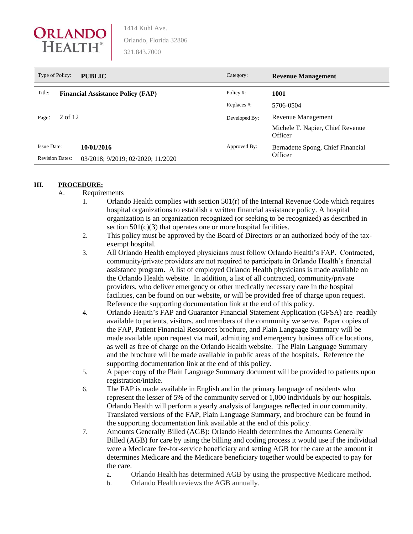

| Type of Policy:        | <b>PUBLIC</b>                            | Category:     | <b>Revenue Management</b>                   |
|------------------------|------------------------------------------|---------------|---------------------------------------------|
| Title:                 | <b>Financial Assistance Policy (FAP)</b> | Policy#:      | 1001                                        |
|                        |                                          | Replaces#:    | 5706-0504                                   |
| 2 of 12<br>Page:       |                                          | Developed By: | Revenue Management                          |
|                        |                                          |               | Michele T. Napier, Chief Revenue<br>Officer |
| <b>Issue Date:</b>     | 10/01/2016                               | Approved By:  | Bernadette Spong, Chief Financial           |
| <b>Revision Dates:</b> | 03/2018; 9/2019; 02/2020; 11/2020        |               | Officer                                     |

### **III. PROCEDURE:**

- A. Requirements
	- 1. Orlando Health complies with section 501(r) of the Internal Revenue Code which requires hospital organizations to establish a written financial assistance policy. A hospital organization is an organization recognized (or seeking to be recognized) as described in section  $501(c)(3)$  that operates one or more hospital facilities.
	- 2. This policy must be approved by the Board of Directors or an authorized body of the taxexempt hospital.
	- 3. All Orlando Health employed physicians must follow Orlando Health's FAP. Contracted, community/private providers are not required to participate in Orlando Health's financial assistance program. A list of employed Orlando Health physicians is made available on the Orlando Health website. In addition, a list of all contracted, community/private providers, who deliver emergency or other medically necessary care in the hospital facilities, can be found on our website, or will be provided free of charge upon request. Reference the supporting documentation link at the end of this policy.
	- 4. Orlando Health's FAP and Guarantor Financial Statement Application (GFSA) are readily available to patients, visitors, and members of the community we serve. Paper copies of the FAP, Patient Financial Resources brochure, and Plain Language Summary will be made available upon request via mail, admitting and emergency business office locations, as well as free of charge on the Orlando Health website. The Plain Language Summary and the brochure will be made available in public areas of the hospitals. Reference the supporting documentation link at the end of this policy.
	- 5. A paper copy of the Plain Language Summary document will be provided to patients upon registration/intake.
	- 6. The FAP is made available in English and in the primary language of residents who represent the lesser of 5% of the community served or 1,000 individuals by our hospitals. Orlando Health will perform a yearly analysis of languages reflected in our community. Translated versions of the FAP, Plain Language Summary, and brochure can be found in the supporting documentation link available at the end of this policy.
	- 7. Amounts Generally Billed (AGB): Orlando Health determines the Amounts Generally Billed (AGB) for care by using the billing and coding process it would use if the individual were a Medicare fee-for-service beneficiary and setting AGB for the care at the amount it determines Medicare and the Medicare beneficiary together would be expected to pay for the care.
		- a. Orlando Health has determined AGB by using the prospective Medicare method.
		- b. Orlando Health reviews the AGB annually.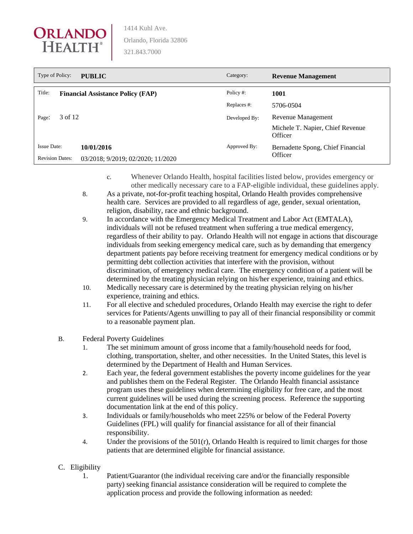

| Type of Policy:        | <b>PUBLIC</b>                            | Category:     | <b>Revenue Management</b>                   |
|------------------------|------------------------------------------|---------------|---------------------------------------------|
| Title:                 | <b>Financial Assistance Policy (FAP)</b> | Policy#:      | 1001                                        |
|                        |                                          | Replaces#:    | 5706-0504                                   |
| 3 of 12<br>Page:       |                                          | Developed By: | Revenue Management                          |
|                        |                                          |               | Michele T. Napier, Chief Revenue<br>Officer |
| <b>Issue Date:</b>     | 10/01/2016                               | Approved By:  | Bernadette Spong, Chief Financial           |
| <b>Revision Dates:</b> | 03/2018; 9/2019; 02/2020; 11/2020        |               | Officer                                     |

- c. Whenever Orlando Health, hospital facilities listed below, provides emergency or other medically necessary care to a FAP-eligible individual, these guidelines apply.
- 8. As a private, not-for-profit teaching hospital, Orlando Health provides comprehensive health care. Services are provided to all regardless of age, gender, sexual orientation, religion, disability, race and ethnic background.
- 9. In accordance with the Emergency Medical Treatment and Labor Act (EMTALA), individuals will not be refused treatment when suffering a true medical emergency, regardless of their ability to pay. Orlando Health will not engage in actions that discourage individuals from seeking emergency medical care, such as by demanding that emergency department patients pay before receiving treatment for emergency medical conditions or by permitting debt collection activities that interfere with the provision, without discrimination, of emergency medical care. The emergency condition of a patient will be determined by the treating physician relying on his/her experience, training and ethics.
- 10. Medically necessary care is determined by the treating physician relying on his/her experience, training and ethics.
- 11. For all elective and scheduled procedures, Orlando Health may exercise the right to defer services for Patients/Agents unwilling to pay all of their financial responsibility or commit to a reasonable payment plan.
- B. Federal Poverty Guidelines
	- 1. The set minimum amount of gross income that a family/household needs for food, clothing, transportation, shelter, and other necessities. In the United States, this level is determined by the Department of Health and Human Services.
	- 2. Each year, the federal government establishes the poverty income guidelines for the year and publishes them on the Federal Register. The Orlando Health financial assistance program uses these guidelines when determining eligibility for free care, and the most current guidelines will be used during the screening process. Reference the supporting documentation link at the end of this policy.
	- 3. Individuals or family/households who meet 225% or below of the Federal Poverty Guidelines (FPL) will qualify for financial assistance for all of their financial responsibility.
	- 4. Under the provisions of the 501(r), Orlando Health is required to limit charges for those patients that are determined eligible for financial assistance.
- C. Eligibility
	- 1. Patient/Guarantor (the individual receiving care and/or the financially responsible party) seeking financial assistance consideration will be required to complete the application process and provide the following information as needed: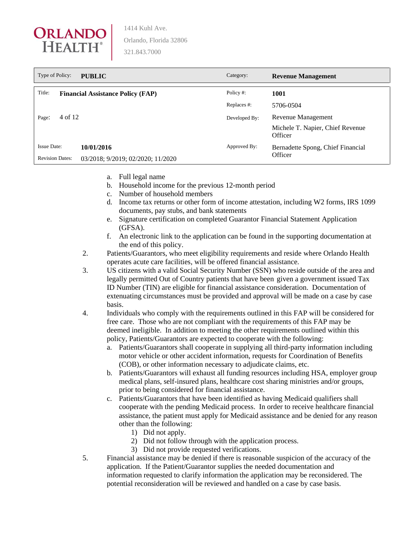

| Type of Policy:<br><b>PUBLIC</b><br>Category:<br><b>Revenue Management</b> |                                          |               |                                             |
|----------------------------------------------------------------------------|------------------------------------------|---------------|---------------------------------------------|
| Title:                                                                     | <b>Financial Assistance Policy (FAP)</b> | Policy #:     | 1001                                        |
|                                                                            |                                          | Replaces #:   | 5706-0504                                   |
| 4 of 12<br>Page:                                                           |                                          | Developed By: | Revenue Management                          |
|                                                                            |                                          |               | Michele T. Napier, Chief Revenue<br>Officer |
| <b>Issue Date:</b>                                                         | 10/01/2016                               | Approved By:  | Bernadette Spong, Chief Financial           |
| <b>Revision Dates:</b>                                                     | 03/2018; 9/2019; 02/2020; 11/2020        |               | Officer                                     |

- a. Full legal name
- b. Household income for the previous 12-month period
- c. Number of household members
- d. Income tax returns or other form of income attestation, including W2 forms, IRS 1099 documents, pay stubs, and bank statements
- e. Signature certification on completed Guarantor Financial Statement Application (GFSA).
- f. An electronic link to the application can be found in the supporting documentation at the end of this policy.
- 2. Patients/Guarantors, who meet eligibility requirements and reside where Orlando Health operates acute care facilities, will be offered financial assistance.
- 3. US citizens with a valid Social Security Number (SSN) who reside outside of the area and legally permitted Out of Country patients that have been given a government issued Tax ID Number (TIN) are eligible for financial assistance consideration. Documentation of extenuating circumstances must be provided and approval will be made on a case by case basis.
- 4. Individuals who comply with the requirements outlined in this FAP will be considered for free care. Those who are not compliant with the requirements of this FAP may be deemed ineligible. In addition to meeting the other requirements outlined within this policy, Patients/Guarantors are expected to cooperate with the following:
	- a. Patients/Guarantors shall cooperate in supplying all third-party information including motor vehicle or other accident information, requests for Coordination of Benefits (COB), or other information necessary to adjudicate claims, etc.
	- b. Patients/Guarantors will exhaust all funding resources including HSA, employer group medical plans, self-insured plans, healthcare cost sharing ministries and/or groups, prior to being considered for financial assistance.
	- c. Patients/Guarantors that have been identified as having Medicaid qualifiers shall cooperate with the pending Medicaid process. In order to receive healthcare financial assistance, the patient must apply for Medicaid assistance and be denied for any reason other than the following:
		- 1) Did not apply.
		- 2) Did not follow through with the application process.
		- 3) Did not provide requested verifications.
- 5. Financial assistance may be denied if there is reasonable suspicion of the accuracy of the application. If the Patient/Guarantor supplies the needed documentation and information requested to clarify information the application may be reconsidered. The potential reconsideration will be reviewed and handled on a case by case basis.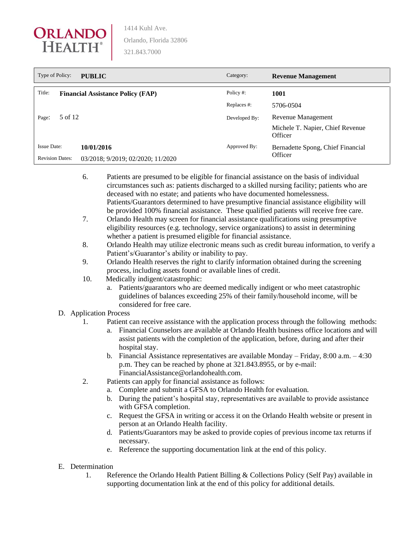

| Type of Policy:        | <b>PUBLIC</b>                            | Category:     | <b>Revenue Management</b>                   |
|------------------------|------------------------------------------|---------------|---------------------------------------------|
| Title:                 | <b>Financial Assistance Policy (FAP)</b> | Policy #:     | 1001                                        |
| 5 of 12<br>Page:       |                                          | Replaces #:   | 5706-0504                                   |
|                        |                                          | Developed By: | Revenue Management                          |
|                        |                                          |               | Michele T. Napier, Chief Revenue<br>Officer |
| <b>Issue Date:</b>     | 10/01/2016                               | Approved By:  | Bernadette Spong, Chief Financial           |
| <b>Revision Dates:</b> | 03/2018; 9/2019; 02/2020; 11/2020        |               | Officer                                     |

- 6. Patients are presumed to be eligible for financial assistance on the basis of individual circumstances such as: patients discharged to a skilled nursing facility; patients who are deceased with no estate; and patients who have documented homelessness. Patients/Guarantors determined to have presumptive financial assistance eligibility will be provided 100% financial assistance. These qualified patients will receive free care.
- 7. Orlando Health may screen for financial assistance qualifications using presumptive eligibility resources (e.g. technology, service organizations) to assist in determining whether a patient is presumed eligible for financial assistance.
- 8. Orlando Health may utilize electronic means such as credit bureau information, to verify a Patient's/Guarantor's ability or inability to pay.
- 9. Orlando Health reserves the right to clarify information obtained during the screening process, including assets found or available lines of credit.
- 10. Medically indigent/catastrophic:
	- a. Patients/guarantors who are deemed medically indigent or who meet catastrophic guidelines of balances exceeding 25% of their family/household income, will be considered for free care.

## D. Application Process

- 1. Patient can receive assistance with the application process through the following methods:
	- a. Financial Counselors are available at Orlando Health business office locations and will assist patients with the completion of the application, before, during and after their hospital stay.
	- b. Financial Assistance representatives are available Monday Friday,  $8:00$  a.m.  $-4:30$ p.m. They can be reached by phone at 321.843.8955, or by e-mail: FinancialAssistance@orlandohealth.com.
- 2. Patients can apply for financial assistance as follows:
	- a. Complete and submit a GFSA to Orlando Health for evaluation.
	- b. During the patient's hospital stay, representatives are available to provide assistance with GFSA completion.
	- c. Request the GFSA in writing or access it on the Orlando Health website or present in person at an Orlando Health facility.
	- d. Patients/Guarantors may be asked to provide copies of previous income tax returns if necessary.
	- e. Reference the supporting documentation link at the end of this policy.

# E. Determination

1. Reference the Orlando Health Patient Billing & Collections Policy (Self Pay) available in supporting documentation link at the end of this policy for additional details.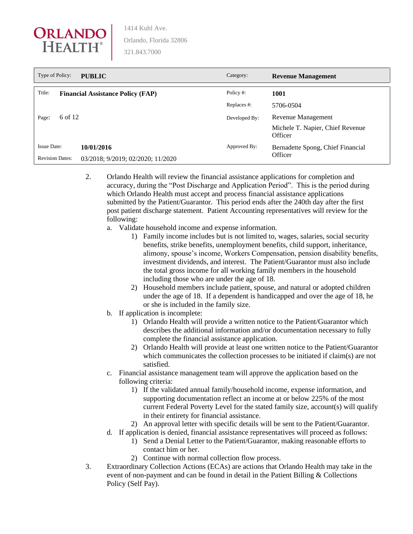

| Type of Policy:        | <b>PUBLIC</b>                            | Category:     | <b>Revenue Management</b>                   |
|------------------------|------------------------------------------|---------------|---------------------------------------------|
| Title:                 | <b>Financial Assistance Policy (FAP)</b> | Policy #:     | 1001                                        |
|                        |                                          | Replaces #:   | 5706-0504                                   |
| 6 of 12<br>Page:       |                                          | Developed By: | Revenue Management                          |
|                        |                                          |               | Michele T. Napier, Chief Revenue<br>Officer |
| <b>Issue Date:</b>     | 10/01/2016                               | Approved By:  | Bernadette Spong, Chief Financial           |
| <b>Revision Dates:</b> | 03/2018; 9/2019; 02/2020; 11/2020        |               | Officer                                     |

2. Orlando Health will review the financial assistance applications for completion and accuracy, during the "Post Discharge and Application Period". This is the period during which Orlando Health must accept and process financial assistance applications submitted by the Patient/Guarantor. This period ends after the 240th day after the first post patient discharge statement. Patient Accounting representatives will review for the following:

- a. Validate household income and expense information.
	- 1) Family income includes but is not limited to, wages, salaries, social security benefits, strike benefits, unemployment benefits, child support, inheritance, alimony, spouse's income, Workers Compensation, pension disability benefits, investment dividends, and interest. The Patient/Guarantor must also include the total gross income for all working family members in the household including those who are under the age of 18.
	- 2) Household members include patient, spouse, and natural or adopted children under the age of 18. If a dependent is handicapped and over the age of 18, he or she is included in the family size.
- b. If application is incomplete:
	- 1) Orlando Health will provide a written notice to the Patient/Guarantor which describes the additional information and/or documentation necessary to fully complete the financial assistance application.
	- 2) Orlando Health will provide at least one written notice to the Patient/Guarantor which communicates the collection processes to be initiated if claim(s) are not satisfied.
- c. Financial assistance management team will approve the application based on the following criteria:
	- 1) If the validated annual family/household income, expense information, and supporting documentation reflect an income at or below 225% of the most current Federal Poverty Level for the stated family size, account(s) will qualify in their entirety for financial assistance.
	- 2) An approval letter with specific details will be sent to the Patient/Guarantor.
- d. If application is denied, financial assistance representatives will proceed as follows:
	- 1) Send a Denial Letter to the Patient/Guarantor, making reasonable efforts to contact him or her.
	- 2) Continue with normal collection flow process.
- 3. Extraordinary Collection Actions (ECAs) are actions that Orlando Health may take in the event of non-payment and can be found in detail in the Patient Billing & Collections Policy (Self Pay).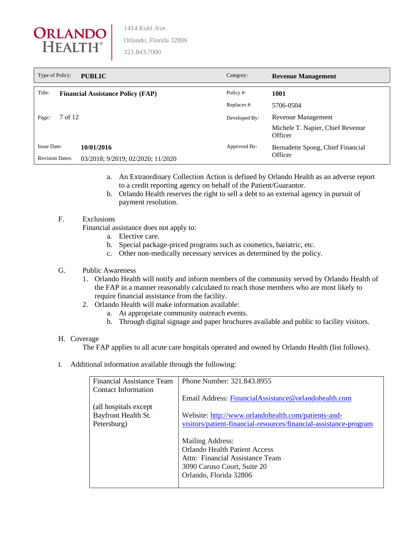

| Type of Policy:        | <b>PUBLIC</b>                            | Category:     | <b>Revenue Management</b>                   |
|------------------------|------------------------------------------|---------------|---------------------------------------------|
| Title:                 | <b>Financial Assistance Policy (FAP)</b> | Policy #:     | 1001                                        |
| 7 of 12<br>Page:       |                                          | Replaces#:    | 5706-0504                                   |
|                        |                                          | Developed By: | Revenue Management                          |
|                        |                                          |               | Michele T. Napier, Chief Revenue<br>Officer |
| <b>Issue Date:</b>     | 10/01/2016                               | Approved By:  | Bernadette Spong, Chief Financial           |
| <b>Revision Dates:</b> | 03/2018; 9/2019; 02/2020; 11/2020        |               | Officer                                     |

- a. An Extraordinary Collection Action is defined by Orlando Health as an adverse report to a credit reporting agency on behalf of the Patient/Guarantor.
- b. Orlando Health reserves the right to sell a debt to an external agency in pursuit of payment resolution.

### F. Exclusions

Financial assistance does not apply to:

- a. Elective care.
- b. Special package-priced programs such as cosmetics, bariatric, etc.
- c. Other non-medically necessary services as determined by the policy.

## G. Public Awareness

- 1. Orlando Health will notify and inform members of the community served by Orlando Health of the FAP in a manner reasonably calculated to reach those members who are most likely to require financial assistance from the facility.
- 2. Orlando Health will make information available:
	- a. At appropriate community outreach events.
	- b. Through digital signage and paper brochures available and public to facility visitors.

#### H. Coverage

The FAP applies to all acute care hospitals operated and owned by Orlando Health (list follows).

I. Additional information available through the following:

| Financial Assistance Team | Phone Number: 321.843.8955                                        |
|---------------------------|-------------------------------------------------------------------|
| Contact Information       |                                                                   |
|                           | Email Address: FinancialAssistance@orlandohealth.com              |
| (all hospitals except)    |                                                                   |
| Bayfront Health St.       | Website: http://www.orlandohealth.com/patients-and-               |
| Petersburg)               | visitors/patient-financial-resources/financial-assistance-program |
|                           |                                                                   |
|                           | Mailing Address:                                                  |
|                           | <b>Orlando Health Patient Access</b>                              |
|                           | Attn: Financial Assistance Team                                   |
|                           | 3090 Caruso Court, Suite 20                                       |
|                           | Orlando, Florida 32806                                            |
|                           |                                                                   |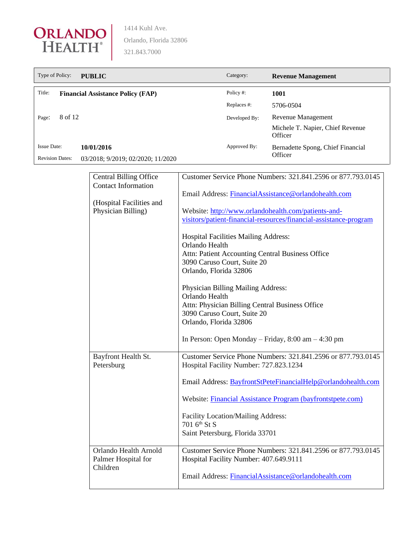

| Type of Policy:<br><b>PUBLIC</b> |                                          | Category:     | <b>Revenue Management</b>                   |
|----------------------------------|------------------------------------------|---------------|---------------------------------------------|
| Title:                           | <b>Financial Assistance Policy (FAP)</b> | Policy #:     | 1001                                        |
|                                  |                                          | Replaces #:   | 5706-0504                                   |
| 8 of 12<br>Page:                 |                                          | Developed By: | Revenue Management                          |
|                                  |                                          |               | Michele T. Napier, Chief Revenue<br>Officer |
| <b>Issue Date:</b>               | 10/01/2016                               | Approved By:  | Bernadette Spong, Chief Financial           |
| <b>Revision Dates:</b>           | 03/2018; 9/2019; 02/2020; 11/2020        |               | Officer                                     |

| <b>Central Billing Office</b><br><b>Contact Information</b> | Customer Service Phone Numbers: 321.841.2596 or 877.793.0145                                                             |
|-------------------------------------------------------------|--------------------------------------------------------------------------------------------------------------------------|
|                                                             | Email Address: FinancialAssistance@orlandohealth.com                                                                     |
| (Hospital Facilities and<br>Physician Billing)              | Website: http://www.orlandohealth.com/patients-and-<br>visitors/patient-financial-resources/financial-assistance-program |
|                                                             | Hospital Facilities Mailing Address:<br>Orlando Health<br>Attn: Patient Accounting Central Business Office               |
|                                                             | 3090 Caruso Court, Suite 20<br>Orlando, Florida 32806                                                                    |
|                                                             | Physician Billing Mailing Address:<br>Orlando Health                                                                     |
|                                                             | Attn: Physician Billing Central Business Office<br>3090 Caruso Court, Suite 20                                           |
|                                                             | Orlando, Florida 32806                                                                                                   |
|                                                             | In Person: Open Monday – Friday, $8:00$ am – $4:30$ pm                                                                   |
| Bayfront Health St.<br>Petersburg                           | Customer Service Phone Numbers: 321.841.2596 or 877.793.0145<br>Hospital Facility Number: 727.823.1234                   |
|                                                             | Email Address: BayfrontStPeteFinancialHelp@orlandohealth.com                                                             |
|                                                             | Website: Financial Assistance Program (bayfrontstpete.com)                                                               |
|                                                             | Facility Location/Mailing Address:<br>701 6th St S                                                                       |
|                                                             | Saint Petersburg, Florida 33701                                                                                          |
| Orlando Health Arnold<br>Palmer Hospital for<br>Children    | Customer Service Phone Numbers: 321.841.2596 or 877.793.0145<br>Hospital Facility Number: 407.649.9111                   |
|                                                             | Email Address: FinancialAssistance@orlandohealth.com                                                                     |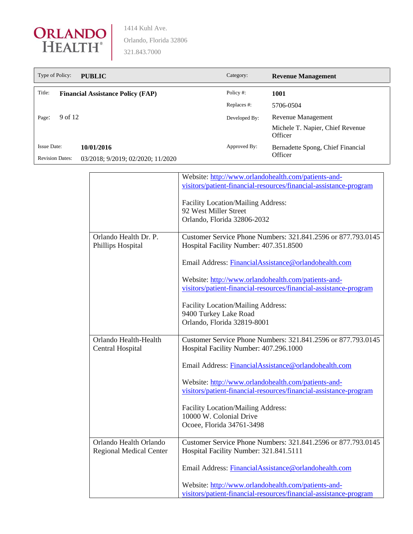

| Type of Policy:<br>Category:<br><b>PUBLIC</b> |                                          |               | <b>Revenue Management</b>                   |
|-----------------------------------------------|------------------------------------------|---------------|---------------------------------------------|
| Title:                                        | <b>Financial Assistance Policy (FAP)</b> | Policy #:     | 1001                                        |
| 9 of 12<br>Page:                              |                                          | Replaces#:    | 5706-0504                                   |
|                                               |                                          | Developed By: | Revenue Management                          |
|                                               |                                          |               | Michele T. Napier, Chief Revenue<br>Officer |
| Issue Date:                                   | 10/01/2016                               | Approved By:  | Bernadette Spong, Chief Financial           |
| <b>Revision Dates:</b>                        | 03/2018; 9/2019; 02/2020; 11/2020        |               | Officer                                     |

|                                | Website: http://www.orlandohealth.com/patients-and-               |
|--------------------------------|-------------------------------------------------------------------|
|                                | visitors/patient-financial-resources/financial-assistance-program |
|                                |                                                                   |
|                                | Facility Location/Mailing Address:                                |
|                                | 92 West Miller Street                                             |
|                                | Orlando, Florida 32806-2032                                       |
|                                |                                                                   |
| Orlando Health Dr. P.          | Customer Service Phone Numbers: 321.841.2596 or 877.793.0145      |
| Phillips Hospital              | Hospital Facility Number: 407.351.8500                            |
|                                |                                                                   |
|                                | Email Address: FinancialAssistance@orlandohealth.com              |
|                                |                                                                   |
|                                | Website: http://www.orlandohealth.com/patients-and-               |
|                                | visitors/patient-financial-resources/financial-assistance-program |
|                                |                                                                   |
|                                | Facility Location/Mailing Address:                                |
|                                | 9400 Turkey Lake Road                                             |
|                                | Orlando, Florida 32819-8001                                       |
| Orlando Health-Health          | Customer Service Phone Numbers: 321.841.2596 or 877.793.0145      |
| <b>Central Hospital</b>        | Hospital Facility Number: 407.296.1000                            |
|                                |                                                                   |
|                                | Email Address: FinancialAssistance@orlandohealth.com              |
|                                |                                                                   |
|                                | Website: http://www.orlandohealth.com/patients-and-               |
|                                | visitors/patient-financial-resources/financial-assistance-program |
|                                |                                                                   |
|                                | Facility Location/Mailing Address:                                |
|                                | 10000 W. Colonial Drive                                           |
|                                | Ocoee, Florida 34761-3498                                         |
|                                |                                                                   |
| Orlando Health Orlando         | Customer Service Phone Numbers: 321.841.2596 or 877.793.0145      |
| <b>Regional Medical Center</b> | Hospital Facility Number: 321.841.5111                            |
|                                |                                                                   |
|                                | Email Address: FinancialAssistance@orlandohealth.com              |
|                                |                                                                   |
|                                | Website: http://www.orlandohealth.com/patients-and-               |
|                                | visitors/patient-financial-resources/financial-assistance-program |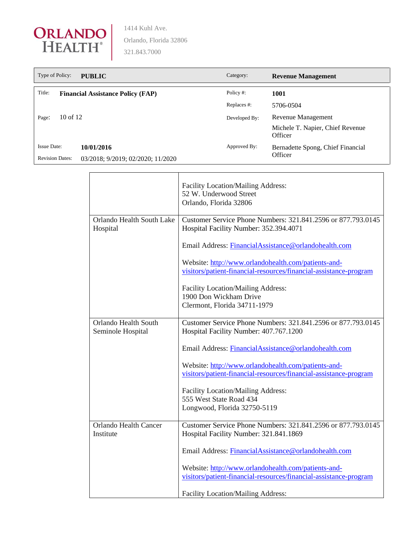

| Type of Policy:        | <b>PUBLIC</b>                            | Category:     | <b>Revenue Management</b>                    |
|------------------------|------------------------------------------|---------------|----------------------------------------------|
| Title:                 | <b>Financial Assistance Policy (FAP)</b> | Policy #:     | 1001                                         |
|                        |                                          | Replaces#:    | 5706-0504                                    |
| $10$ of $12$<br>Page:  |                                          | Developed By: | Revenue Management                           |
|                        |                                          |               | Michele T. Napier, Chief Revenue<br>Officer  |
| Issue Date:            | 10/01/2016                               | Approved By:  | Bernadette Spong, Chief Financial<br>Officer |
| <b>Revision Dates:</b> | 03/2018; 9/2019; 02/2020; 11/2020        |               |                                              |

|                                           | Facility Location/Mailing Address:<br>52 W. Underwood Street<br>Orlando, Florida 32806                                   |  |
|-------------------------------------------|--------------------------------------------------------------------------------------------------------------------------|--|
| Orlando Health South Lake<br>Hospital     | Customer Service Phone Numbers: 321.841.2596 or 877.793.0145<br>Hospital Facility Number: 352.394.4071                   |  |
|                                           | Email Address: FinancialAssistance@orlandohealth.com                                                                     |  |
|                                           | Website: http://www.orlandohealth.com/patients-and-<br>visitors/patient-financial-resources/financial-assistance-program |  |
|                                           | Facility Location/Mailing Address:<br>1900 Don Wickham Drive<br>Clermont, Florida 34711-1979                             |  |
| Orlando Health South<br>Seminole Hospital | Customer Service Phone Numbers: 321.841.2596 or 877.793.0145<br>Hospital Facility Number: 407.767.1200                   |  |
|                                           | Email Address: FinancialAssistance@orlandohealth.com                                                                     |  |
|                                           | Website: http://www.orlandohealth.com/patients-and-<br>visitors/patient-financial-resources/financial-assistance-program |  |
|                                           | Facility Location/Mailing Address:<br>555 West State Road 434<br>Longwood, Florida 32750-5119                            |  |
|                                           |                                                                                                                          |  |
| <b>Orlando Health Cancer</b><br>Institute | Customer Service Phone Numbers: 321.841.2596 or 877.793.0145<br>Hospital Facility Number: 321.841.1869                   |  |
|                                           | Email Address: FinancialAssistance@orlandohealth.com                                                                     |  |
|                                           | Website: http://www.orlandohealth.com/patients-and-<br>visitors/patient-financial-resources/financial-assistance-program |  |
|                                           | Facility Location/Mailing Address:                                                                                       |  |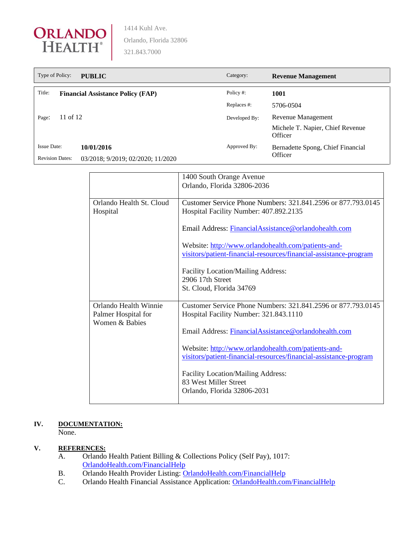

| Type of Policy:        | <b>PUBLIC</b>                            | Category:     | <b>Revenue Management</b>                    |
|------------------------|------------------------------------------|---------------|----------------------------------------------|
| Title:                 | <b>Financial Assistance Policy (FAP)</b> | Policy #:     | 1001                                         |
|                        |                                          | Replaces #:   | 5706-0504                                    |
| 11 of 12<br>Page:      |                                          | Developed By: | Revenue Management                           |
|                        |                                          |               | Michele T. Napier, Chief Revenue<br>Officer  |
| <b>Issue Date:</b>     | 10/01/2016                               | Approved By:  | Bernadette Spong, Chief Financial<br>Officer |
| <b>Revision Dates:</b> | 03/2018; 9/2019; 02/2020; 11/2020        |               |                                              |

|                                                                | 1400 South Orange Avenue<br>Orlando, Florida 32806-2036                                                                  |
|----------------------------------------------------------------|--------------------------------------------------------------------------------------------------------------------------|
| Orlando Health St. Cloud<br>Hospital                           | Customer Service Phone Numbers: 321.841.2596 or 877.793.0145<br>Hospital Facility Number: 407.892.2135                   |
|                                                                | Email Address: FinancialAssistance@orlandohealth.com                                                                     |
|                                                                | Website: http://www.orlandohealth.com/patients-and-<br>visitors/patient-financial-resources/financial-assistance-program |
|                                                                | Facility Location/Mailing Address:<br>2906 17th Street                                                                   |
|                                                                | St. Cloud, Florida 34769                                                                                                 |
| Orlando Health Winnie<br>Palmer Hospital for<br>Women & Babies | Customer Service Phone Numbers: 321.841.2596 or 877.793.0145<br>Hospital Facility Number: 321.843.1110                   |
|                                                                | Email Address: FinancialAssistance@orlandohealth.com                                                                     |
|                                                                | Website: http://www.orlandohealth.com/patients-and-<br>visitors/patient-financial-resources/financial-assistance-program |
|                                                                | Facility Location/Mailing Address:<br>83 West Miller Street<br>Orlando, Florida 32806-2031                               |

## **IV. DOCUMENTATION:**

None.

## **V. REFERENCES:**

- A. Orlando Health Patient Billing & Collections Policy (Self Pay), 1017: [OrlandoHealth.com/FinancialHelp](https://www.orlandohealth.com/patients-and-visitors/patient-financial-resources/financial-assistance-program)
- B. Orlando Health Provider Listing: [OrlandoHealth.com/FinancialHelp](https://www.orlandohealth.com/patients-and-visitors/patient-financial-resources/financial-assistance-program)
- C. Orlando Health Financial Assistance Application: [OrlandoHealth.com/FinancialHelp](https://www.orlandohealth.com/patients-and-visitors/patient-financial-resources/financial-assistance-program)